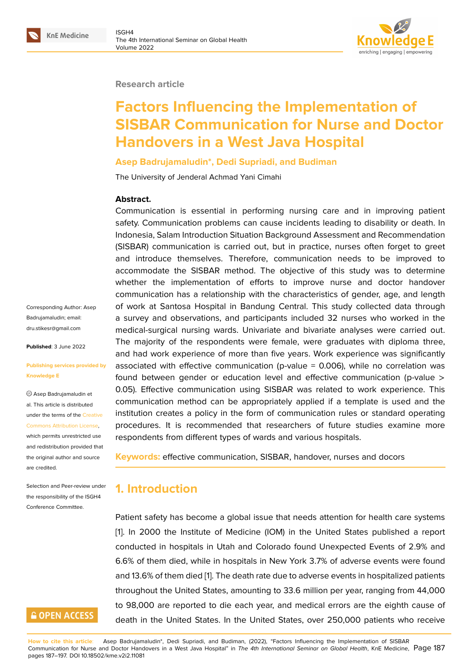#### **Research article**

# **Factors Influencing the Implementation of SISBAR Communication for Nurse and Doctor Handovers in a West Java Hospital**

#### **Asep Badrujamaludin\*, Dedi Supriadi, and Budiman**

The University of Jenderal Achmad Yani Cimahi

#### **Abstract.**

Communication is essential in performing nursing care and in improving patient safety. Communication problems can cause incidents leading to disability or death. In Indonesia, Salam Introduction Situation Background Assessment and Recommendation (SISBAR) communication is carried out, but in practice, nurses often forget to greet and introduce themselves. Therefore, communication needs to be improved to accommodate the SISBAR method. The objective of this study was to determine whether the implementation of efforts to improve nurse and doctor handover communication has a relationship with the characteristics of gender, age, and length of work at Santosa Hospital in Bandung Central. This study collected data through a survey and observations, and participants included 32 nurses who worked in the medical-surgical nursing wards. Univariate and bivariate analyses were carried out. The majority of the respondents were female, were graduates with diploma three, and had work experience of more than five years. Work experience was significantly associated with effective communication (p-value = 0.006), while no correlation was found between gender or education level and effective communication (p-value > 0.05). Effective communication using SISBAR was related to work experience. This communication method can be appropriately applied if a template is used and the institution creates a policy in the form of communication rules or standard operating procedures. It is recommended that researchers of future studies examine more respondents from different types of wards and various hospitals.

**Keywords:** effective communication, SISBAR, handover, nurses and docors

### **1. Introduction**

Patient safety has become a global issue that needs attention for health care systems [1]. In 2000 the Institute of Medicine (IOM) in the United States published a report conducted in hospitals in Utah and Colorado found Unexpected Events of 2.9% and 6.6% of them died, while in hospitals in New York 3.7% of adverse events were found [an](#page-9-0)d 13.6% of them died [1]. The death rate due to adverse events in hospitalized patients throughout the United States, amounting to 33.6 million per year, ranging from 44,000 to 98,000 are reported to die each year, and medical errors are the eighth cause of death in the United St[ate](#page-9-0)s. In the United States, over 250,000 patients who receive

Corresponding Author: Asep Badrujamaludin; email: dru.stikesr@gmail.com

**Published**: 3 June 2022

#### **[Publishing services pr](mailto:dru.stikesr@gmail.com)ovided by Knowledge E**

Asep Badrujamaludin et al. This article is distributed under the terms of the Creative Commons Attribution License,

which permits unrestricted use and redistribution provided that the original author and [source](https://creativecommons.org/licenses/by/4.0/) [are credited.](https://creativecommons.org/licenses/by/4.0/)

Selection and Peer-review under the responsibility of the ISGH4 Conference Committee.

# **GOPEN ACCESS**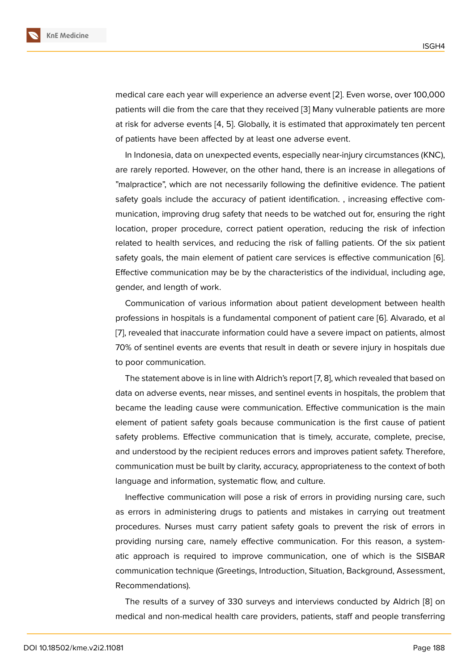medical care each year will experience an adverse event [2]. Even worse, over 100,000 patients will die from the care that they received [3] Many vulnerable patients are more at risk for adverse events [4, 5]. Globally, it is estimated that approximately ten percent of patients have been affected by at least one adverse e[ve](#page-9-1)nt.

In Indonesia, data on unexpected events, espe[cia](#page-9-2)lly near-injury circumstances (KNC), are rarely reported. However, on the other hand, there is an increase in allegations of "malpractice", which are not necessarily following the definitive evidence. The patient safety goals include the accuracy of patient identification. , increasing effective communication, improving drug safety that needs to be watched out for, ensuring the right location, proper procedure, correct patient operation, reducing the risk of infection related to health services, and reducing the risk of falling patients. Of the six patient safety goals, the main element of patient care services is effective communication [6]. Effective communication may be by the characteristics of the individual, including age, gender, and length of work.

Communication of various information about patient development between hea[lth](#page-9-3) professions in hospitals is a fundamental component of patient care [6]. Alvarado, et al [7], revealed that inaccurate information could have a severe impact on patients, almost 70% of sentinel events are events that result in death or severe injury in hospitals due to poor communication.

The statement above is in line with Aldrich's report [7, 8], which revealed that based on data on adverse events, near misses, and sentinel events in hospitals, the problem that became the leading cause were communication. Effective communication is the main element of patient safety goals because communication is the first cause of patient safety problems. Effective communication that is timely, accurate, complete, precise, and understood by the recipient reduces errors and improves patient safety. Therefore, communication must be built by clarity, accuracy, appropriateness to the context of both language and information, systematic flow, and culture.

Ineffective communication will pose a risk of errors in providing nursing care, such as errors in administering drugs to patients and mistakes in carrying out treatment procedures. Nurses must carry patient safety goals to prevent the risk of errors in providing nursing care, namely effective communication. For this reason, a systematic approach is required to improve communication, one of which is the SISBAR communication technique (Greetings, Introduction, Situation, Background, Assessment, Recommendations).

The results of a survey of 330 surveys and interviews conducted by Aldrich [8] on medical and non-medical health care providers, patients, staff and people transferring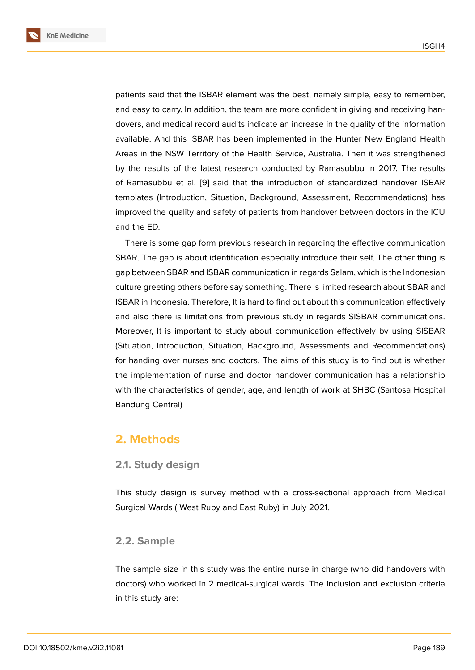patients said that the ISBAR element was the best, namely simple, easy to remember, and easy to carry. In addition, the team are more confident in giving and receiving handovers, and medical record audits indicate an increase in the quality of the information available. And this ISBAR has been implemented in the Hunter New England Health Areas in the NSW Territory of the Health Service, Australia. Then it was strengthened by the results of the latest research conducted by Ramasubbu in 2017. The results of Ramasubbu et al. [9] said that the introduction of standardized handover ISBAR templates (Introduction, Situation, Background, Assessment, Recommendations) has improved the quality and safety of patients from handover between doctors in the ICU and the ED.

There is some gap form previous research in regarding the effective communication SBAR. The gap is about identification especially introduce their self. The other thing is gap between SBAR and ISBAR communication in regards Salam, which is the Indonesian culture greeting others before say something. There is limited research about SBAR and ISBAR in Indonesia. Therefore, It is hard to find out about this communication effectively and also there is limitations from previous study in regards SISBAR communications. Moreover, It is important to study about communication effectively by using SISBAR (Situation, Introduction, Situation, Background, Assessments and Recommendations) for handing over nurses and doctors. The aims of this study is to find out is whether the implementation of nurse and doctor handover communication has a relationship with the characteristics of gender, age, and length of work at SHBC (Santosa Hospital Bandung Central)

### **2. Methods**

### **2.1. Study design**

This study design is survey method with a cross-sectional approach from Medical Surgical Wards ( West Ruby and East Ruby) in July 2021.

### **2.2. Sample**

The sample size in this study was the entire nurse in charge (who did handovers with doctors) who worked in 2 medical-surgical wards. The inclusion and exclusion criteria in this study are: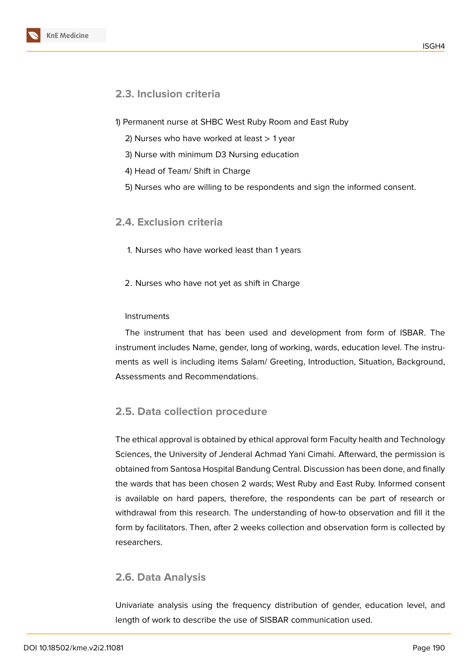### **2.3. Inclusion criteria**

- 1) Permanent nurse at SHBC West Ruby Room and East Ruby
	- 2) Nurses who have worked at least  $> 1$  year
	- 3) Nurse with minimum D3 Nursing education
	- 4) Head of Team/ Shift in Charge
	- 5) Nurses who are willing to be respondents and sign the informed consent.

### **2.4. Exclusion criteria**

- 1. Nurses who have worked least than 1 years
- 2. Nurses who have not yet as shift in Charge

#### **Instruments**

The instrument that has been used and development from form of ISBAR. The instrument includes Name, gender, long of working, wards, education level. The instruments as well is including items Salam/ Greeting, Introduction, Situation, Background, Assessments and Recommendations.

### **2.5. Data collection procedure**

The ethical approval is obtained by ethical approval form Faculty health and Technology Sciences, the University of Jenderal Achmad Yani Cimahi. Afterward, the permission is obtained from Santosa Hospital Bandung Central. Discussion has been done, and finally the wards that has been chosen 2 wards; West Ruby and East Ruby. Informed consent is available on hard papers, therefore, the respondents can be part of research or withdrawal from this research. The understanding of how-to observation and fill it the form by facilitators. Then, after 2 weeks collection and observation form is collected by researchers.

### **2.6. Data Analysis**

Univariate analysis using the frequency distribution of gender, education level, and length of work to describe the use of SISBAR communication used.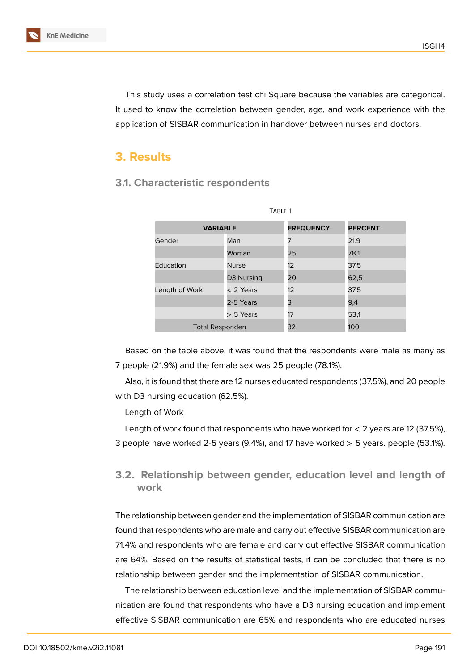This study uses a correlation test chi Square because the variables are categorical. It used to know the correlation between gender, age, and work experience with the application of SISBAR communication in handover between nurses and doctors.

## **3. Results**

### TABLE 1 **VARIABLE FREQUENCY PERCENT** Gender Man 7 21.9 Woman 25 78.1 Education Nurse 12 37,5 D3 Nursing 20 62.5 Length of Work  $\leq 2$  Years 12 37,5 2-5 Years 3 9,4 > 5 Years 17 53,1 Total Responden 32 100

**3.1. Characteristic respondents**

Based on the table above, it was found that the respondents were male as many as 7 people (21.9%) and the female sex was 25 people (78.1%).

Also, it is found that there are 12 nurses educated respondents (37.5%), and 20 people with D3 nursing education (62.5%).

Length of Work

Length of work found that respondents who have worked for  $<$  2 years are 12 (37.5%), 3 people have worked 2-5 years  $(9.4%)$ , and 17 have worked  $>$  5 years. people (53.1%).

# **3.2. Relationship between gender, education level and length of work**

The relationship between gender and the implementation of SISBAR communication are found that respondents who are male and carry out effective SISBAR communication are 71.4% and respondents who are female and carry out effective SISBAR communication are 64%. Based on the results of statistical tests, it can be concluded that there is no relationship between gender and the implementation of SISBAR communication.

The relationship between education level and the implementation of SISBAR communication are found that respondents who have a D3 nursing education and implement effective SISBAR communication are 65% and respondents who are educated nurses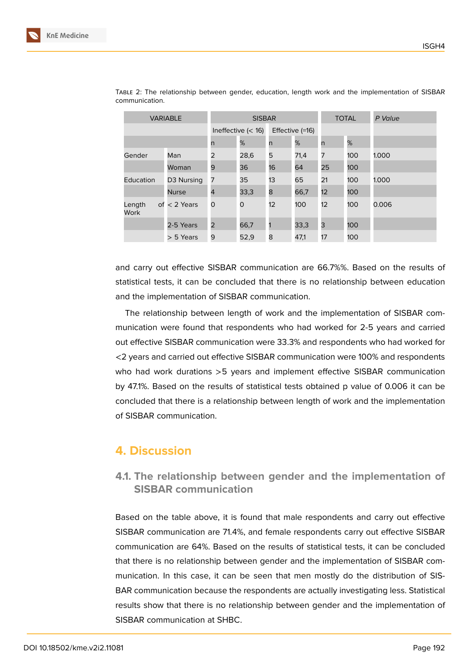| <b>VARIABLE</b>       |                | <b>SISBAR</b>        |      |                 |      | <b>TOTAL</b>            |     | P Value |
|-----------------------|----------------|----------------------|------|-----------------|------|-------------------------|-----|---------|
|                       |                | Ineffective $(< 16)$ |      | Effective (=16) |      |                         |     |         |
|                       |                | n                    | %    | n               | %    | $\overline{\mathsf{n}}$ | %   |         |
| Gender                | Man            | 2                    | 28,6 | 5               | 71,4 | 7                       | 100 | 1.000   |
|                       | Woman          | 9                    | 36   | 16              | 64   | 25                      | 100 |         |
| Education             | D3 Nursing     | 7                    | 35   | 13              | 65   | 21                      | 100 | 1.000   |
|                       | <b>Nurse</b>   | 4                    | 33,3 | 8               | 66,7 | 12                      | 100 |         |
| Length<br><b>Work</b> | of $<$ 2 Years | O                    | 0    | 12 <sup>2</sup> | 100  | 12                      | 100 | 0.006   |
|                       | 2-5 Years      | 2                    | 66,7 |                 | 33,3 | 3                       | 100 |         |
|                       | $> 5$ Years    | 9                    | 52,9 | 8               | 47,1 | 17                      | 100 |         |

Table 2: The relationship between gender, education, length work and the implementation of SISBAR communication.

and carry out effective SISBAR communication are 66.7%%. Based on the results of statistical tests, it can be concluded that there is no relationship between education and the implementation of SISBAR communication.

The relationship between length of work and the implementation of SISBAR communication were found that respondents who had worked for 2-5 years and carried out effective SISBAR communication were 33.3% and respondents who had worked for <2 years and carried out effective SISBAR communication were 100% and respondents who had work durations >5 years and implement effective SISBAR communication by 47.1%. Based on the results of statistical tests obtained p value of 0.006 it can be concluded that there is a relationship between length of work and the implementation of SISBAR communication.

# **4. Discussion**

### **4.1. The relationship between gender and the implementation of SISBAR communication**

Based on the table above, it is found that male respondents and carry out effective SISBAR communication are 71.4%, and female respondents carry out effective SISBAR communication are 64%. Based on the results of statistical tests, it can be concluded that there is no relationship between gender and the implementation of SISBAR communication. In this case, it can be seen that men mostly do the distribution of SIS-BAR communication because the respondents are actually investigating less. Statistical results show that there is no relationship between gender and the implementation of SISBAR communication at SHBC.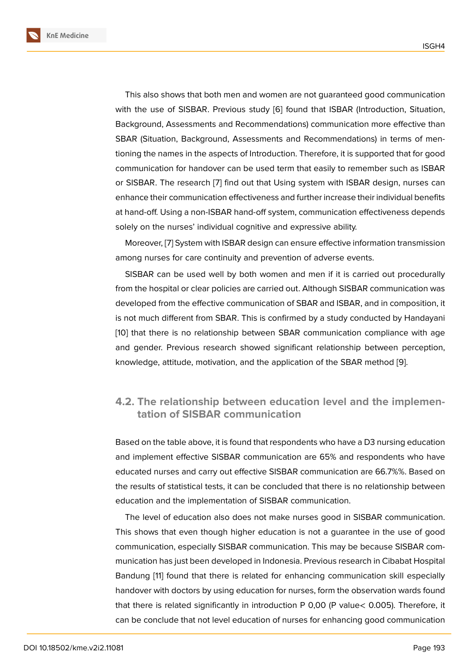This also shows that both men and women are not guaranteed good communication with the use of SISBAR. Previous study [6] found that ISBAR (Introduction, Situation, Background, Assessments and Recommendations) communication more effective than SBAR (Situation, Background, Assessments and Recommendations) in terms of mentioning the names in the aspects of Introd[uc](#page-9-3)tion. Therefore, it is supported that for good communication for handover can be used term that easily to remember such as ISBAR or SISBAR. The research [7] find out that Using system with ISBAR design, nurses can enhance their communication effectiveness and further increase their individual benefits at hand-off. Using a non-ISBAR hand-off system, communication effectiveness depends solely on the nurses' indi[vid](#page-9-5)ual cognitive and expressive ability.

Moreover, [7] System with ISBAR design can ensure effective information transmission among nurses for care continuity and prevention of adverse events.

SISBAR can be used well by both women and men if it is carried out procedurally from the hos[pit](#page-9-5)al or clear policies are carried out. Although SISBAR communication was developed from the effective communication of SBAR and ISBAR, and in composition, it is not much different from SBAR. This is confirmed by a study conducted by Handayani [10] that there is no relationship between SBAR communication compliance with age and gender. Previous research showed significant relationship between perception, knowledge, attitude, motivation, and the application of the SBAR method [9].

### **4.2. The relationship between education level and the i[m](#page-9-6)plementation of SISBAR communication**

Based on the table above, it is found that respondents who have a D3 nursing education and implement effective SISBAR communication are 65% and respondents who have educated nurses and carry out effective SISBAR communication are 66.7%%. Based on the results of statistical tests, it can be concluded that there is no relationship between education and the implementation of SISBAR communication.

The level of education also does not make nurses good in SISBAR communication. This shows that even though higher education is not a guarantee in the use of good communication, especially SISBAR communication. This may be because SISBAR communication has just been developed in Indonesia. Previous research in Cibabat Hospital Bandung [11] found that there is related for enhancing communication skill especially handover with doctors by using education for nurses, form the observation wards found that there is related significantly in introduction P 0,00 (P value< 0.005). Therefore, it can be co[nc](#page-9-7)lude that not level education of nurses for enhancing good communication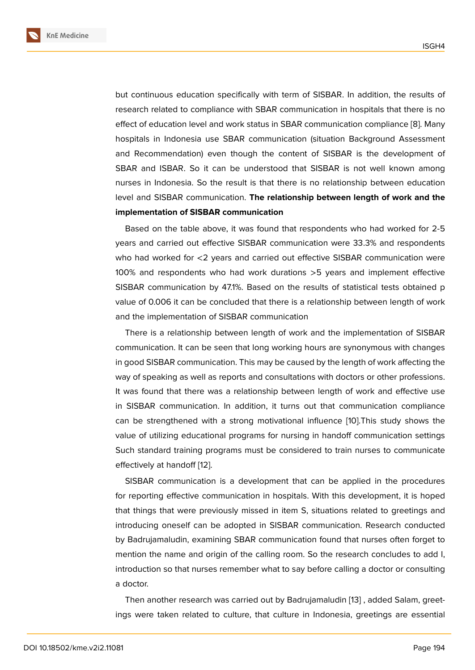but continuous education specifically with term of SISBAR. In addition, the results of research related to compliance with SBAR communication in hospitals that there is no effect of education level and work status in SBAR communication compliance [8]. Many hospitals in Indonesia use SBAR communication (situation Background Assessment and Recommendation) even though the content of SISBAR is the development of SBAR and ISBAR. So it can be understood that SISBAR is not well know[n](#page-9-4) among nurses in Indonesia. So the result is that there is no relationship between education level and SISBAR communication. **The relationship between length of work and the implementation of SISBAR communication**

Based on the table above, it was found that respondents who had worked for 2-5 years and carried out effective SISBAR communication were 33.3% and respondents who had worked for <2 years and carried out effective SISBAR communication were 100% and respondents who had work durations >5 years and implement effective SISBAR communication by 47.1%. Based on the results of statistical tests obtained p value of 0.006 it can be concluded that there is a relationship between length of work and the implementation of SISBAR communication

There is a relationship between length of work and the implementation of SISBAR communication. It can be seen that long working hours are synonymous with changes in good SISBAR communication. This may be caused by the length of work affecting the way of speaking as well as reports and consultations with doctors or other professions. It was found that there was a relationship between length of work and effective use in SISBAR communication. In addition, it turns out that communication compliance can be strengthened with a strong motivational influence [10].This study shows the value of utilizing educational programs for nursing in handoff communication settings Such standard training programs must be considered to train nurses to communicate effectively at handoff [12].

SISBAR communication is a development that can be applied in the procedures for reporting effective communication in hospitals. With this development, it is hoped that things that were [pre](#page-10-0)viously missed in item S, situations related to greetings and introducing oneself can be adopted in SISBAR communication. Research conducted by Badrujamaludin, examining SBAR communication found that nurses often forget to mention the name and origin of the calling room. So the research concludes to add I, introduction so that nurses remember what to say before calling a doctor or consulting a doctor.

Then another research was carried out by Badrujamaludin [13] , added Salam, greetings were taken related to culture, that culture in Indonesia, greetings are essential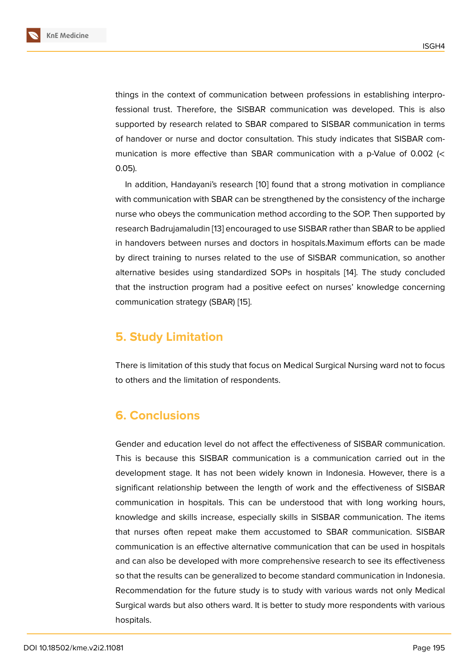things in the context of communication between professions in establishing interprofessional trust. Therefore, the SISBAR communication was developed. This is also supported by research related to SBAR compared to SISBAR communication in terms of handover or nurse and doctor consultation. This study indicates that SISBAR communication is more effective than SBAR communication with a p-Value of 0.002 (< 0.05).

In addition, Handayani's research [10] found that a strong motivation in compliance with communication with SBAR can be strengthened by the consistency of the incharge nurse who obeys the communication method according to the SOP. Then supported by research Badrujamaludin [13] encoura[ge](#page-9-8)d to use SISBAR rather than SBAR to be applied in handovers between nurses and doctors in hospitals.Maximum efforts can be made by direct training to nurses related to the use of SISBAR communication, so another alternative besides usin[g st](#page-10-1)andardized SOPs in hospitals [14]. The study concluded that the instruction program had a positive eefect on nurses' knowledge concerning communication strategy (SBAR) [15].

### **5. Study Limitation**

There is limitation of this study that focus on Medical Surgical Nursing ward not to focus to others and the limitation of respondents.

# **6. Conclusions**

Gender and education level do not affect the effectiveness of SISBAR communication. This is because this SISBAR communication is a communication carried out in the development stage. It has not been widely known in Indonesia. However, there is a significant relationship between the length of work and the effectiveness of SISBAR communication in hospitals. This can be understood that with long working hours, knowledge and skills increase, especially skills in SISBAR communication. The items that nurses often repeat make them accustomed to SBAR communication. SISBAR communication is an effective alternative communication that can be used in hospitals and can also be developed with more comprehensive research to see its effectiveness so that the results can be generalized to become standard communication in Indonesia. Recommendation for the future study is to study with various wards not only Medical Surgical wards but also others ward. It is better to study more respondents with various hospitals.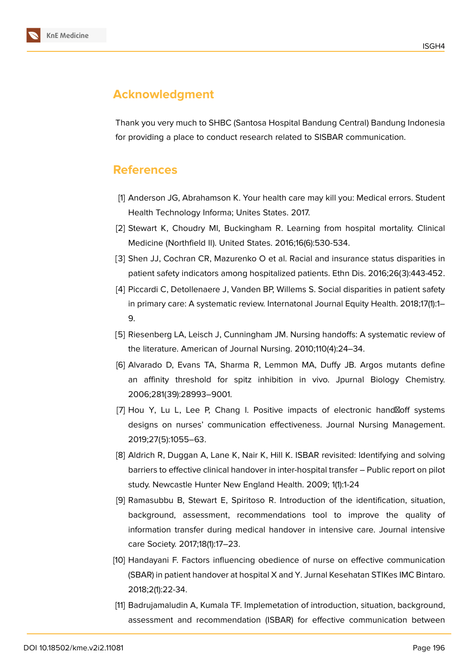

Thank you very much to SHBC (Santosa Hospital Bandung Central) Bandung Indonesia for providing a place to conduct research related to SISBAR communication.

### **References**

- <span id="page-9-0"></span>[1] Anderson JG, Abrahamson K. Your health care may kill you: Medical errors. Student Health Technology Informa; Unites States. 2017.
- <span id="page-9-1"></span>[2] Stewart K, Choudry MI, Buckingham R. Learning from hospital mortality. Clinical Medicine (Northfield Il). United States. 2016;16(6):530-534.
- <span id="page-9-2"></span>[3] Shen JJ, Cochran CR, Mazurenko O et al. Racial and insurance status disparities in patient safety indicators among hospitalized patients. Ethn Dis. 2016;26(3):443-452.
- [4] Piccardi C, Detollenaere J, Vanden BP, Willems S. Social disparities in patient safety in primary care: A systematic review. Internatonal Journal Equity Health. 2018;17(1):1– 9.
- [5] Riesenberg LA, Leisch J, Cunningham JM. Nursing handoffs: A systematic review of the literature. American of Journal Nursing. 2010;110(4):24–34.
- <span id="page-9-3"></span>[6] Alvarado D, Evans TA, Sharma R, Lemmon MA, Duffy JB. Argos mutants define an affinity threshold for spitz inhibition in vivo. Jpurnal Biology Chemistry. 2006;281(39):28993–9001.
- <span id="page-9-5"></span>[7] Hou Y, Lu L, Lee P, Chang I. Positive impacts of electronic hand \foff systems designs on nurses' communication effectiveness. Journal Nursing Management. 2019;27(5):1055–63.
- <span id="page-9-4"></span>[8] Aldrich R, Duggan A, Lane K, Nair K, Hill K. ISBAR revisited: Identifying and solving barriers to effective clinical handover in inter-hospital transfer – Public report on pilot study. Newcastle Hunter New England Health. 2009; 1(1):1-24
- <span id="page-9-6"></span>[9] Ramasubbu B, Stewart E, Spiritoso R. Introduction of the identification, situation, background, assessment, recommendations tool to improve the quality of information transfer during medical handover in intensive care. Journal intensive care Society. 2017;18(1):17–23.
- <span id="page-9-8"></span>[10] Handayani F. Factors influencing obedience of nurse on effective communication (SBAR) in patient handover at hospital X and Y. Jurnal Kesehatan STIKes IMC Bintaro. 2018;2(1):22-34.
- <span id="page-9-7"></span>[11] Badrujamaludin A, Kumala TF. Implemetation of introduction, situation, background, assessment and recommendation (ISBAR) for effective communication between